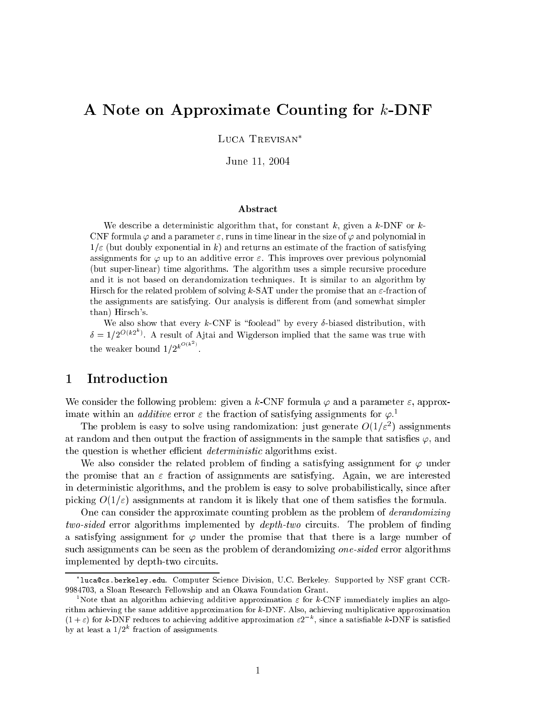# A Note on Approximate Counting for k-DNF

LUCA TREVISAN<sup>\*</sup>

June 11, <sup>2004</sup>

#### Abstra
t

We describe a deterministic algorithm that, for constant k, given a k-DNF or k-CNF formula  $\varphi$  and a parameter  $\varepsilon$ , runs in time linear in the size of  $\varphi$  and polynomial in  $1/\varepsilon$  (but doubly exponential in k) and returns an estimate of the fraction of satisfying assignments for  $\varphi$  up to an additive error  $\varepsilon$ . This improves over previous polynomial (but super-linear) time algorithms. The algorithm uses a simple re
ursive pro
edure and it is not based on derandomization te
hniques. It is similar to an algorithm by Hirsch for the related problem of solving k-SAT under the promise that an  $\varepsilon$ -fraction of the assignments are satisfying. Our analysis is different from (and somewhat simpler than) Hirs
h's.

We also show that every  $k$ -CNF is "foolead" by every  $\delta$ -biased distribution, with  $\delta = 1/2^{\mathcal{O}(\kappa^2)}$ . A result of Ajtai and Wigderson implied that the same was true with the weaker bound  $1/2^{k^{O(k^2)}}$ .

# 1 Introduction

We consider the following problem: given a k-CNF formula  $\varphi$  and a parameter  $\varepsilon$ , approximate within an *adative* error  $\varepsilon$  the fraction of satisfying assignments for  $\varphi.^\ast$ 

The problem is easy to solve using randomization: just generate  $O(1/\varepsilon)$  assignments at random and then output the fraction of assignments in the sample that satisfies  $\varphi$ , and the question is whether efficient *deterministic* algorithms exist.

We also consider the related problem of finding a satisfying assignment for  $\varphi$  under the promise that an  $\varepsilon$  fraction of assignments are satisfying. Again, we are interested in deterministic algorithms, and the problem is easy to solve probabilistically, since after picking  $O(1/\varepsilon)$  assignments at random it is likely that one of them satisfies the formula.

One can consider the approximate counting problem as the problem of *derandomizing*  $two-sided$  error algorithms implemented by  $depth-two$  circuits. The problem of finding a satisfying assignment for  $\varphi$  under the promise that that there is a large number of such assignments can be seen as the problem of derandomizing one-sided error algorithms implemented by depth-two circuits.

lu
a
s.berkeley.edu. Computer S
ien
e Division, U.C. Berkeley. Supported by NSF grant CCR-9984703, a Sloan Resear
h Fellowship and an Okawa Foundation Grant.

<sup>&</sup>lt;sup>1</sup>Note that an algorithm achieving additive approximation  $\varepsilon$  for k-CNF immediately implies an algorithm achieving the same additive approximation for k-DNF. Also, achieving multiplicative approximation  $(1+\varepsilon)$  for k-DNF reduces to achieving additive approximation  $\varepsilon 2^{-\kappa}$ , since a satisfiable k-DNF is satisfied by at least a  $1/2^k$  fraction of assignments.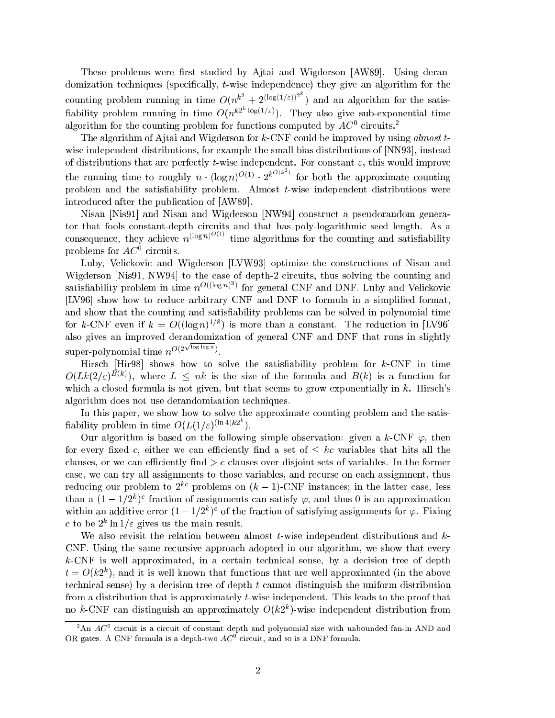These problems were first studied by Ajtai and Wigderson [AW89]. Using derandomization techniques (specifically, t-wise independence) they give an algorithm for the counting problem running in time  $O(n^{k^2} + 2^{(\log(1/\varepsilon))^2})$  and an algorithm for the satis-<br>fiability problem running in time  $O(n^{k2^k \log(1/\varepsilon)})$ . They also give sub-exponential time algorithm for the counting problem for functions computed by  $A\cup$  -circuits.  $\overline{\ }$ 

The algorithm of Ajtai and Wigderson for  $k$ -CNF could be improved by using almost  $t$ wise independent distributions, for example the small bias distributions of  $[NN93]$ , instead the that the distributions that are perfectively to the material perfections in the computation of the perfect the running time to roughly  $n \cdot (\log n)^{O(1)} \cdot 2^{k^{O(k)}}$  for both the approximate counting problem and the satisfiability problem. Almost  $t$ -wise independent distributions were introduced after the publication of [AW89].

Nisan [Nis91] and Nisan and Wigderson [NW94] construct a pseudorandom generator that fools constant-depth circuits and that has poly-logarithmic seed length. As a consequence, they achieve  $n^{(\log n)^{O(1)}}$  time algorithms for the counting and satisfiability problems for  $A\cup$  circuits.

Luby, Velickovic and Wigderson [LVW93] optimize the constructions of Nisan and Wigderson [Nis91, NW94] to the case of depth-2 circuits, thus solving the counting and satisfiability problem in time  $n^{O((log n) \nu)}$  for general CNF and DNF. Luby and Velickovic [LV96] show how to reduce arbitrary CNF and DNF to formula in a simplified format, and show that the counting and satisfiability problems can be solved in polynomial time for  $\kappa$ -CNF even if  $\kappa = O((\log n)^{-\epsilon})$  is more than a constant. The reduction in [LV90] also gives an improved derandomization of general CNF and DNF that runs in slightly super-polynomial time  $n\geq$  $\sqrt{\log \log n}$ ).

Hirsch [Hir98] shows how to solve the satisfiability problem for  $k$ -CNF in time  $O(L\kappa(Z/\varepsilon)^{-\infty})$ , where  $L \leq \hbar \kappa$  is the size of the formula and  $D(\kappa)$  is a function for which a closed formula is not given, but that seems to grow exponentially in  $k$ . Hirsch's algorithm does not use derandomization te
hniques.

In this paper, we show how to solve the approximate counting problem and the satisfiability problem in time  $O(L(1/\varepsilon)^{(\ln 4)\kappa_2})$ .

Our algorithm is based on the following simple observation: given a k-CNF  $\varphi$ , then for every fixed c, either we can efficiently find a set of  $\leq k \infty$  variables that hits all the clauses, or we can efficiently find  $>c$  clauses over disjoint sets of variables. In the former case, we can try all assignments to those variables, and recurse on each assignment, thus reducing our problem to  $2^{kc}$  problems on  $(k-1)$ -CNF instances; in the latter case, less than a  $(1 - 1/2^{\circ})^{\circ}$  fraction of assignments can satisfy  $\varphi,$  and thus 0 is an approximation within an additive error  $(1 - 1/2<sup>n</sup>)<sup>o</sup>$  of the fraction of satisfying assignments for  $\varphi$ . Fixing c to be 2<sup>\*</sup> in 1/ $\varepsilon$  gives us the main result.

We also revisit the relation between almost  $t$ -wise independent distributions and  $k$ -CNF. Using the same re
ursive approa
h adopted in our algorithm, we show that every  $k$ -CNF is well approximated, in a certain technical sense, by a decision tree of depth  $t = O(\kappa z^{\gamma})$ , and it is well known that functions that are well approximated (in the above technical sense) by a decision tree of depth  $t$  cannot distinguish the uniform distribution from a distribution that is approximately t-wise independent. This leads to the proof that no  $\kappa$ -CNF can distinguish an approximately  $O(\kappa z$  )-wise independent distribution from

<sup>&</sup>lt;sup>2</sup>An  $AC^0$  circuit is a circuit of constant depth and polynomial size with unbounded fan-in AND and OR gates. A CNF formula is a depth-two  $AC^0$  circuit, and so is a DNF formula.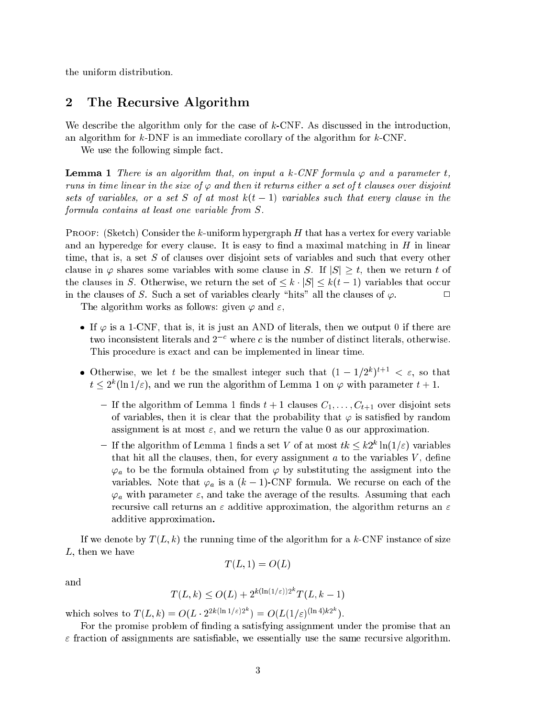the uniform distribution.

#### $\overline{2}$ The Recursive Algorithm

We describe the algorithm only for the case of  $k$ -CNF. As discussed in the introduction, an algorithm for k-DNF is an immediate orollary of the algorithm for k-CNF.

We use the following simple fact.

**Lemma 1** There is an algorithm that, on input a k-CNF formula  $\varphi$  and a parameter t, runs in time linear in the size of  $\varphi$  and then it returns either a set of t clauses over disjoint sets of variables, or a set S of at most  $k(t-1)$  variables such that every clause in the formula ontains at least one variable from S.

**PROOF:** (Sketch) Consider the k-uniform hypergraph  $H$  that has a vertex for every variable and an hyperedge for every clause. It is easy to find a maximal matching in  $H$  in linear time, that is, a set S of clauses over disjoint sets of variables and such that every other clause in  $\varphi$  shares some variables with some clause in S. If  $|S| \geq t$ , then we return t of the clauses in S. Otherwise, we return the set of  $\leq k \cdot |S| \leq k(t-1)$  variables that occur in the clauses of S. Such a set of variables clearly "hits" all the clauses of  $\varphi$ .

The algorithm works as follows: given  $\varphi$  and  $\varepsilon$ ,

- If  $\varphi$  is a 1-CNF, that is, it is just an AND of literals, then we output 0 if there are two inconsistent literals and  $2^{-c}$  where c is the number of distinct literals, otherwise. This procedure is exact and can be implemented in linear time.
- Otherwise, we let t be the smallest integer such that  $(1 1/2^{n})^{n+1} \leq \varepsilon$ , so that  $t \leq 2^{\circ}$  (in 1/ $\varepsilon$ ), and we run the algorithm of Lemma 1 on  $\varphi$  with parameter  $t + 1$ .
	- $-$  if the algorithm of Lemma 1 must  $t + 1$  clauses  $C_1, \ldots, C_{t+1}$  over disjoint sets of variables, then it is clear that the probability that  $\varphi$  is satisfied by random assignment is at most  $\varepsilon$ , and we return the value 0 as our approximation.
	- $-$  If the algorithm of Lemma 1 finds a set v of at most  $\iota \kappa \leq \kappa z^\ast$  in(1/ $\varepsilon$ ) variables that hit all the clauses, then, for every assignment  $a$  to the variables  $V$ , define  $\varphi_a$  to be the formula obtained from  $\varphi$  by substituting the assigment into the variables. Note that  $\varphi_a$  is a  $(k-1)$ -CNF formula. We recurse on each of the  $\varphi_a$  with parameter  $\varepsilon$ , and take the average of the results. Assuming that each recursive call returns an  $\varepsilon$  additive approximation, the algorithm returns an  $\varepsilon$ additive approximation.

If we denote by  $T(L, k)$  the running time of the algorithm for a k-CNF instance of size  $L$ , then we have

$$
T(L,1) = O(L)
$$

and

$$
T(L,k) \le O(L) + 2^{k(\ln(1/\varepsilon))2^k} T(L,k-1)
$$

which solves to  $T(L, k) = O(L \cdot 2^{2k(\ln 1/\epsilon)2^{k}}) = O(L(1/\epsilon)^{(\ln 4)k2^{k}})$ .

For the promise problem of finding a satisfying assignment under the promise that an  $\varepsilon$  fraction of assignments are satisfiable, we essentially use the same recursive algorithm.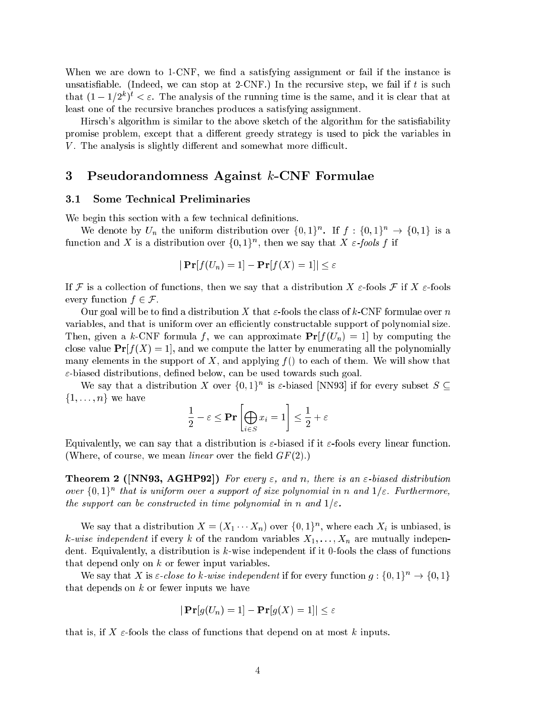When we are down to 1-CNF, we find a satisfying assignment or fail if the instance is unsatisfiable. (Indeed, we can stop at 2-CNF.) In the recursive step, we fail if t is such that  $(1 - 1/Z^*)^* < \varepsilon$ . The analysis of the running time is the same, and it is clear that at least one of the recursive branches produces a satisfying assignment.

Hirsch's algorithm is similar to the above sketch of the algorithm for the satisfiability promise problem, except that a different greedy strategy is used to pick the variables in V. The analysis is slightly different and somewhat more difficult.

## 3 Pseudorandomness Against k-CNF Formulae

#### 3.1 Some Technical Preliminaries

We begin this section with a few technical definitions.

We denote by  $U_n$  the uniform distribution over  $\{0,1\}^n$ . If  $f: \{0,1\}^n \rightarrow \{0,1\}^n$  is a function and  $\Lambda$  is a distribution over  $\{0,1\}$ , then we say that  $\Lambda$   $\varepsilon$ -*fools* f if

$$
|\Pr[f(U_n)=1]-\Pr[f(X)=1]|\leq \varepsilon
$$

If F is a collection of functions, then we say that a distribution X  $\varepsilon$ -fools F if X  $\varepsilon$ -fools every function  $f \in \mathcal{F}$ .

Our goal will be to find a distribution X that  $\varepsilon$ -fools the class of k-CNF formulae over n variables, and that is uniform over an efficiently constructable support of polynomial size. Then, given a k-CNF formula f, we can approximate  $Pr[f(U_n) = 1]$  by computing the close value  $Pr[f(X) = 1]$ , and we compute the latter by enumerating all the polynomially many elements in the support of X, and applying  $f()$  to each of them. We will show that  $\varepsilon$ -biased distributions, defined below, can be used towards such goal.

We say that a distribution A over  $\{0, 1\}^n$  is  $\varepsilon$ -biased [NN93] if for every subset  $S \subseteq$  $\{1, \ldots, n\}$  we have

$$
\frac{1}{2} - \varepsilon \le \mathbf{Pr}\left[\bigoplus_{i \in S} x_i = 1\right] \le \frac{1}{2} + \varepsilon
$$

-

Equivalently, we can say that a distribution is  $\varepsilon$ -biased if it  $\varepsilon$ -fools every linear function. (Where, of course, we mean *linear* over the field  $GF(2)$ .)

**Theorem 2** ([NN93, AGHP92]) For every  $\varepsilon$ , and n, there is an  $\varepsilon$ -biased distribution over  $\{0,1\}^+$  that is uniform over a support of size polynomial in n and  $1/\varepsilon$ . Furthermore, the support can be constructed in time polynomial in n and  $1/\varepsilon$ .

we say that a distribution  $\Lambda = (\Lambda_1 \cdots \Lambda_n)$  over  $\{0,1\}^n$ , where each  $\Lambda_i$  is unbiased, is k-wise independent if every k of the random variables  $X_1, \ldots, X_n$  are mutually independent. Equivalently, a distribution is k-wise independent if it 0-fools the class of functions that depend only on  $k$  or fewer input variables.

We say that X is  $\varepsilon$ -close to k-wise independent if for every function  $g: \{0,1\}^n \to \{0,1\}$ that depends on  $k$  or fewer inputs we have

$$
|\Pr[g(U_n)=1]-\Pr[g(X)=1]|\leq \varepsilon
$$

that is, if X  $\varepsilon$ -fools the class of functions that depend on at most k inputs.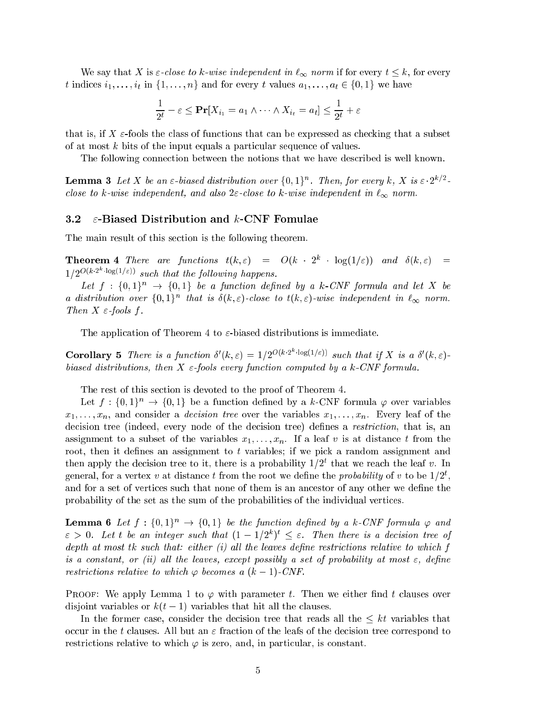We say that X is  $\varepsilon$ -close to k-wise independent in  $\ell_{\infty}$  norm if for every  $t \leq k$ , for every t indices  $i_1, \ldots, i_t$  in  $\{1, \ldots, n\}$  and for every t values  $a_1, \ldots, a_t \in \{0, 1\}$  we have

$$
\frac{1}{2^t} - \varepsilon \le \mathbf{Pr}[X_{i_1} = a_1 \wedge \dots \wedge X_{i_t} = a_t] \le \frac{1}{2^t} + \varepsilon
$$

that is, if X  $\varepsilon$ -fools the class of functions that can be expressed as checking that a subset of at most  $k$  bits of the input equals a particular sequence of values.

The following onne
tion between the notions that we have des
ribed is well known.

**Lemma 3** Let X be an  $\varepsilon$ -biased distribution over  $\{0,1\}^n$ . Then, for every k, X is  $\varepsilon \cdot 2^{k/2}$ close to k-wise independent, and also  $2\varepsilon$ -close to k-wise independent in  $\ell_{\infty}$  norm.

#### 3.2  $\varepsilon$ -Biased Distribution and k-CNF Fomulae

The main result of this se
tion is the following theorem.

**Theorem 4** There are functions  $t(k,\varepsilon) = O(k + 2^k + \log(1/\varepsilon))$  and  $\delta(k,\varepsilon) =$  $1/2^{\mathcal{O}(\kappa^2+ \log(1/\epsilon))}$  such that the following happens.

Let  $f: \{0,1\}^n \rightarrow \{0,1\}$  be a function defined by a k-CNF formula and let X be a aistribution over  $\{0,1\}^n$  that is  $o(\kappa,\varepsilon)$ -close to  $\iota(\kappa,\varepsilon)$ -wise independent in  $\iota_\infty$  norm. Then  $X \in$ -fools f.

The application of Theorem 4 to  $\varepsilon$ -biased distributions is immediate.

**Corollary 5** There is a function  $\delta'(k,\varepsilon) = 1/2^{\mathcal{O}(k \cdot 2^{\alpha} \cdot \log(1/\varepsilon))}$  such that if X is a  $\delta'(k,\varepsilon)$ . biased distributions, then  $X \in$ -fools every function computed by a k-CNF formula.

The rest of this section is devoted to the proof of Theorem 4.

Let  $f: \{0,1\}^n \to \{0,1\}$  be a function defined by a k-CNF formula  $\varphi$  over variables  $x_1, \ldots, x_n$ , and consider a *decision tree* over the variables  $x_1, \ldots, x_n$ . Every leaf of the decision tree (indeed, every node of the decision tree) defines a *restriction*, that is, an assignment to a subset of the variables  $x_1, \ldots, x_n$ . If a leaf v is at distance t from the root, then it defines an assignment to  $t$  variables; if we pick a random assignment and then apply the decision tree to it, there is a probability  $1/Z^*$  that we reach the leaf  $v$ . In general, for a vertex v at distance  $\iota$  from the root we define the probability of v to be 1/2, and for a set of vertices such that none of them is an ancestor of any other we define the probability of the set as the sum of the probabilities of the individual verti
es.

**Lemma 6** Let  $f : \{0,1\}^n \to \{0,1\}$  be the function defined by a k-CNF formula  $\varphi$  and  $\varepsilon$   $>$  0. Let to be an integer such that  $(1=1/2^{\circ})^{\circ} \leq \varepsilon$ . Then there is a decision tree of depth at most  $tk$  such that: either  $(i)$  all the leaves define restrictions relative to which  $f$ is a constant, or (ii) all the leaves, except possibly a set of probability at most  $\varepsilon$ , define restrictions relative to which  $\varphi$  becomes a  $(k-1)$ -CNF.

PROOF: We apply Lemma 1 to  $\varphi$  with parameter t. Then we either find t clauses over disjoint variables or  $k(t-1)$  variables that hit all the clauses.

In the former case, consider the decision tree that reads all the  $\leq kt$  variables that occur in the t clauses. All but an  $\varepsilon$  fraction of the leafs of the decision tree correspond to restrictions relative to which  $\varphi$  is zero, and, in particular, is constant.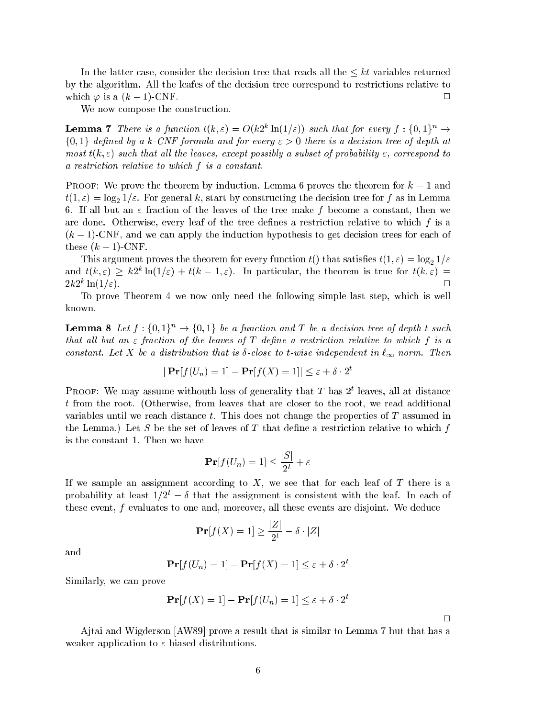In the latter case, consider the decision tree that reads all the  $\leq kt$  variables returned by the algorithm. All the leafes of the decision tree correspond to restrictions relative to which  $\varphi$  is a  $(k-1)$ -CNF.

We now compose the construction.

**Lemma 7** There is a function  $t(k,\varepsilon) = O(k2^{\kappa} \ln(1/\varepsilon))$  such that for every  $f: \{0,1\}^n \to$  $\{0, 1\}$  defined by a k-CNF formula and for every  $\varepsilon > 0$  there is a decision tree of depth at most  $t(k, \varepsilon)$  such that all the leaves, except possibly a subset of probability  $\varepsilon$ , correspond to a restriction relative to which f is a constant.

**PROOF:** We prove the theorem by induction. Lemma 6 proves the theorem for  $k = 1$  and  $t(1, \varepsilon) = \log_2 1/\varepsilon$ . For general k, start by constructing the decision tree for f as in Lemma 6. If all but an  $\varepsilon$  fraction of the leaves of the tree make f become a constant, then we are done. Otherwise, every leaf of the tree defines a restriction relative to which  $f$  is a  $(k-1)$ -CNF, and we can apply the induction hypothesis to get decision trees for each of these  $(k-1)$ -CNF.

This argument proves the theorem for every function  $t()$  that satisfies  $t(1, \varepsilon) = \log_2 1/\varepsilon$ and  $t(k, \varepsilon) > \kappa$  introduce  $\kappa = 1, \varepsilon$ ). In particular, the theorem is true for  $t(k, \varepsilon) =$  $2k2^k \ln(1/\varepsilon)$ .  $\Box$ ln(1="). <sup>2</sup>

To prove Theorem 4 we now only need the following simple last step, whi
h is well known.

**Lemma 8** Let  $f: \{0,1\}^n \rightarrow \{0,1\}$  be a function and T be a decision tree of depth t such that all but an  $\varepsilon$  fraction of the leaves of T define a restriction relative to which f is a constant. Let X be a distribution that is  $\delta$ -close to t-wise independent in  $\ell_{\infty}$  norm. Then

$$
|\Pr[f(U_n) = 1] - \Pr[f(X) = 1]| \le \varepsilon + \delta \cdot 2^t
$$

PROOF: We may assume withouth loss of generality that T has Z leaves, all at distance t from the root. (Otherwise, from leaves that are closer to the root, we read additional variables until we reach distance  $t$ . This does not change the properties of  $T$  assumed in the Lemma.) Let S be the set of leaves of T that define a restriction relative to which  $f$ is the onstant 1. Then we have

$$
\mathbf{Pr}[f(U_n) = 1] \le \frac{|S|}{2^t} + \varepsilon
$$

If we sample an assignment according to  $X$ , we see that for each leaf of  $T$  there is a probability at least  $1/2^t - \delta$  that the assignment is consistent with the leaf. In each of these event,  $f$  evaluates to one and, moreover, all these events are disjoint. We deduce

$$
\Pr[f(X) = 1] \ge \frac{|Z|}{2^t} - \delta \cdot |Z|
$$

and

$$
\mathbf{Pr}[f(U_n) = 1] - \mathbf{Pr}[f(X) = 1] \le \varepsilon + \delta \cdot 2^t
$$

Similarly, we an prove

$$
\mathbf{Pr}[f(X) = 1] - \mathbf{Pr}[f(U_n) = 1] \le \varepsilon + \delta \cdot 2
$$

 $\Box$ 

Ajtai and Wigderson  $[AW89]$  prove a result that is similar to Lemma 7 but that has a weaker application to  $\varepsilon$ -biased distributions.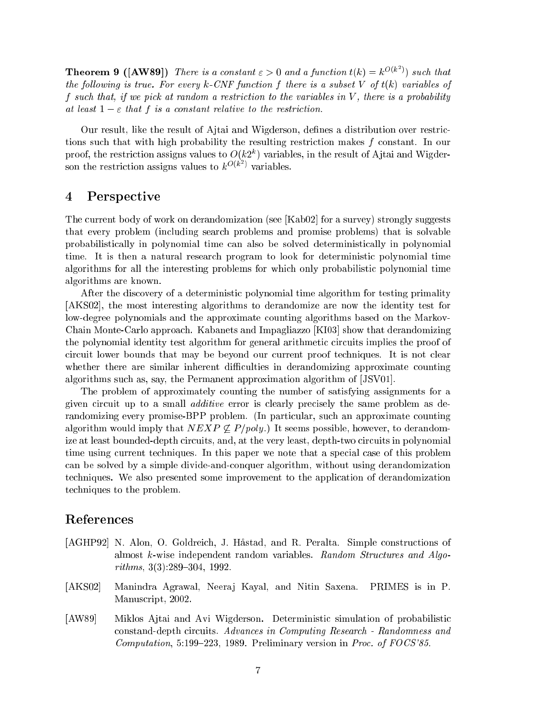**Theorem 9 ([AW89])** There is a constant  $\varepsilon > 0$  and a function  $t(k) = k^{O(k^2)}$  such that the following is true. For every  $k$ -CNF function f there is a subset V of  $t(k)$  variables of f such that, if we pick at random a restriction to the variables in  $V$ , there is a probability at least  $1 - \varepsilon$  that f is a constant relative to the restriction.

Our result, like the result of Ajtai and Wigderson, defines a distribution over restrictions such that with high probability the resulting restriction makes f constant. In our proof, the restriction assigns values to  $O(k2^+)$  variables, in the result of Ajtai and Wigderson the restriction assigns values to  $k^{\mathcal{O}(\kappa)}$ 

## 4 Perspe
tive

The current body of work on derandomization (see [Kab02] for a survey) strongly suggests that every problem (in
luding sear
h problems and promise problems) that is solvable probabilisti
ally in polynomial time an also be solved deterministi
ally in polynomial time. It is then a natural resear
h program to look for deterministi polynomial time algorithms for all the interesting problems for whi
h only probabilisti polynomial time algorithms are known.

After the discovery of a deterministic polynomial time algorithm for testing primality [AKS02], the most interesting algorithms to derandomize are now the identity test for low-degree polynomials and the approximate ounting algorithms based on the Markov-Chain Monte-Carlo approach. Kabanets and Impagliazzo [KI03] show that derandomizing the polynomial identity test algorithm for general arithmetic circuits implies the proof of circuit lower bounds that may be beyond our current proof techniques. It is not clear whether there are similar inherent difficulties in derandomizing approximate counting algorithms such as, say, the Permanent approximation algorithm of [JSV01].

The problem of approximately ounting the number of satisfying assignments for a given circuit up to a small *additive* error is clearly precisely the same problem as derandomizing every promise-BPP problem. (In particular, such an approximate counting algorithm would imply that  $NEXP \nsubseteq P/poly$ .) It seems possible, however, to derandomize at least bounded-depth circuits, and, at the very least, depth-two circuits in polynomial time using current techniques. In this paper we note that a special case of this problem an be solved by a simple divide-andonquer algorithm, without using derandomization te
hniques. We also presented some improvement to the appli
ation of derandomization te
hniques to the problem.

## Referen
es

- [AGHP92] N. Alon, O. Goldreich, J. Håstad, and R. Peralta. Simple constructions of almost k-wise independent random variables. Random Structures and Algo $rithms, 3(3):289-304, 1992.$
- [AKS02] Manindra Agrawal, Neeraj Kayal, and Nitin Saxena. PRIMES is in P. Manuscript, 2002.
- [AW89] Miklos Ajtai and Avi Wigderson. Deterministic simulation of probabilistic constand-depth circuits. Advances in Computing Research - Randomness and Computation, 5:199-223, 1989. Preliminary version in Proc. of FOCS'85.